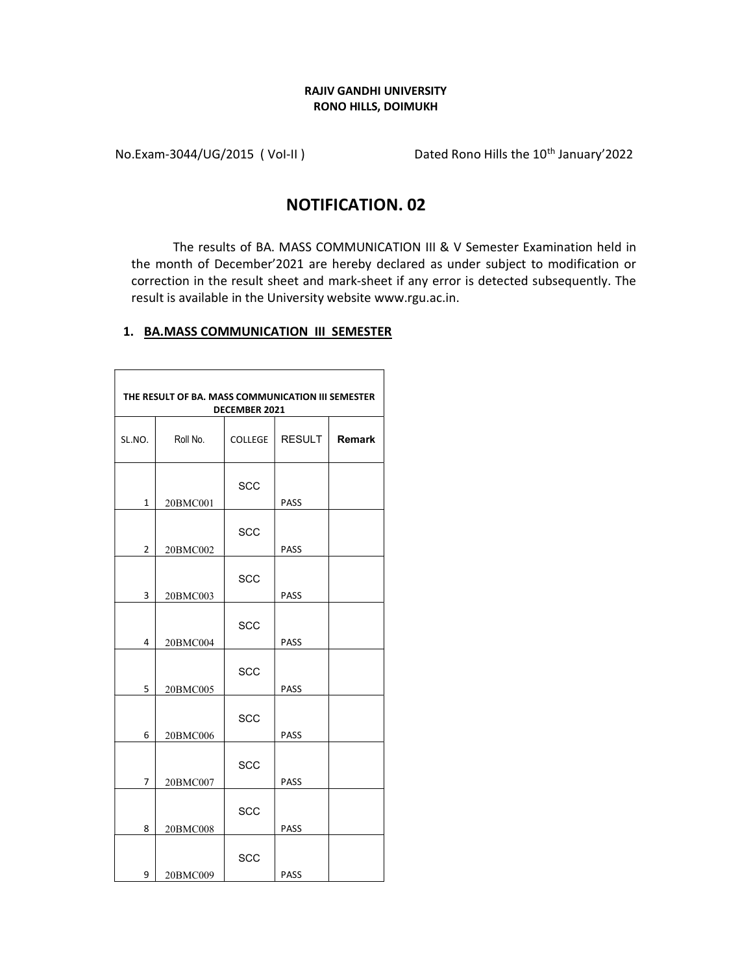#### RAJIV GANDHI UNIVERSITY RONO HILLS, DOIMUKH

No.Exam-3044/UG/2015 ( Vol-II ) Dated Rono Hills the 10<sup>th</sup> January'2022

# NOTIFICATION. 02

The results of BA. MASS COMMUNICATION III & V Semester Examination held in the month of December'2021 are hereby declared as under subject to modification or correction in the result sheet and mark-sheet if any error is detected subsequently. The result is available in the University website www.rgu.ac.in.

### 1. BA.MASS COMMUNICATION III SEMESTER

| THE RESULT OF BA. MASS COMMUNICATION III SEMESTER<br><b>DECEMBER 2021</b> |          |                |               |               |  |
|---------------------------------------------------------------------------|----------|----------------|---------------|---------------|--|
| SL.NO.                                                                    | Roll No. | <b>COLLEGE</b> | <b>RESULT</b> | <b>Remark</b> |  |
| $\mathbf{1}$                                                              | 20BMC001 | <b>SCC</b>     | PASS          |               |  |
| $\overline{2}$                                                            | 20BMC002 | <b>SCC</b>     | PASS          |               |  |
| 3                                                                         | 20BMC003 | <b>SCC</b>     | PASS          |               |  |
| 4                                                                         | 20BMC004 | <b>SCC</b>     | <b>PASS</b>   |               |  |
| 5                                                                         | 20BMC005 | <b>SCC</b>     | PASS          |               |  |
| 6                                                                         | 20BMC006 | <b>SCC</b>     | PASS          |               |  |
| $\overline{7}$                                                            | 20BMC007 | <b>SCC</b>     | PASS          |               |  |
| 8                                                                         | 20BMC008 | <b>SCC</b>     | <b>PASS</b>   |               |  |
| 9                                                                         | 20BMC009 | <b>SCC</b>     | PASS          |               |  |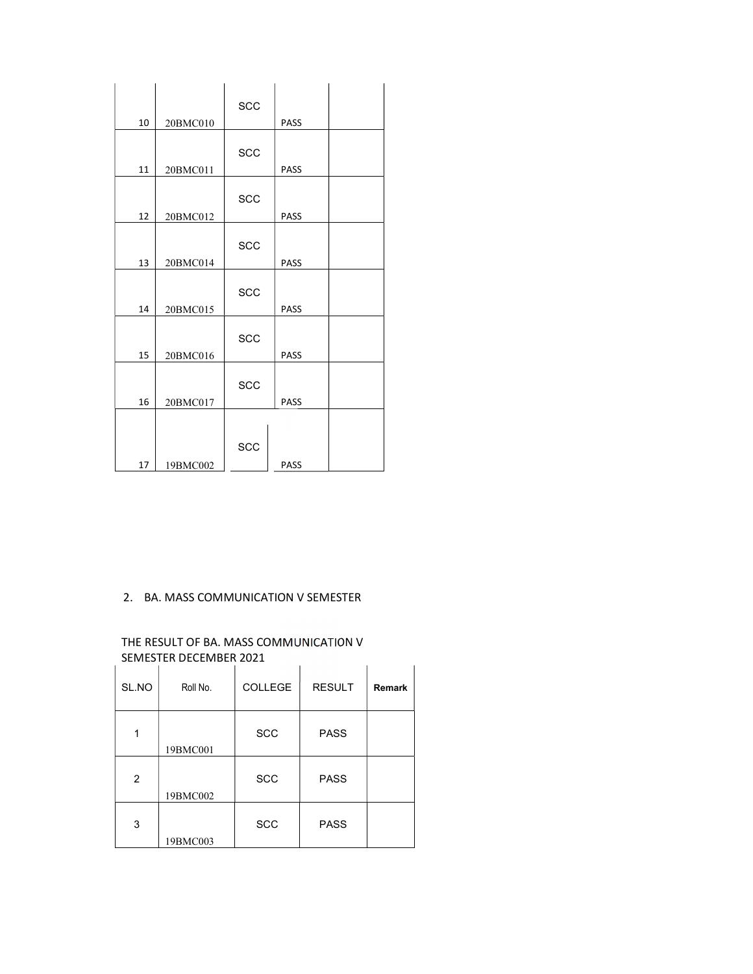|    |          | SCC |             |  |
|----|----------|-----|-------------|--|
| 10 | 20BMC010 |     | PASS        |  |
|    |          |     |             |  |
| 11 | 20BMC011 | SCC | PASS        |  |
|    |          |     |             |  |
| 12 |          | SCC | PASS        |  |
|    | 20BMC012 |     |             |  |
|    |          | SCC |             |  |
| 13 | 20BMC014 |     | <b>PASS</b> |  |
|    |          | SCC |             |  |
| 14 | 20BMC015 |     | PASS        |  |
|    |          | SCC |             |  |
| 15 | 20BMC016 |     | PASS        |  |
|    |          | SCC |             |  |
| 16 | 20BMC017 |     | PASS        |  |
|    |          |     |             |  |
|    |          | SCC |             |  |
| 17 | 19BMC002 |     | <b>PASS</b> |  |

## 2. BA. MASS COMMUNICATION V SEMESTER

### THE RESULT OF BA. MASS COMMUNICATION V SEMESTER DECEMBER 2021

| SL.NO          | Roll No. | <b>COLLEGE</b> | <b>RESULT</b> | <b>Remark</b> |  |
|----------------|----------|----------------|---------------|---------------|--|
| 1              | 19BMC001 | <b>SCC</b>     | <b>PASS</b>   |               |  |
| $\overline{2}$ | 19BMC002 | <b>SCC</b>     | <b>PASS</b>   |               |  |
| 3              | 19BMC003 | <b>SCC</b>     | <b>PASS</b>   |               |  |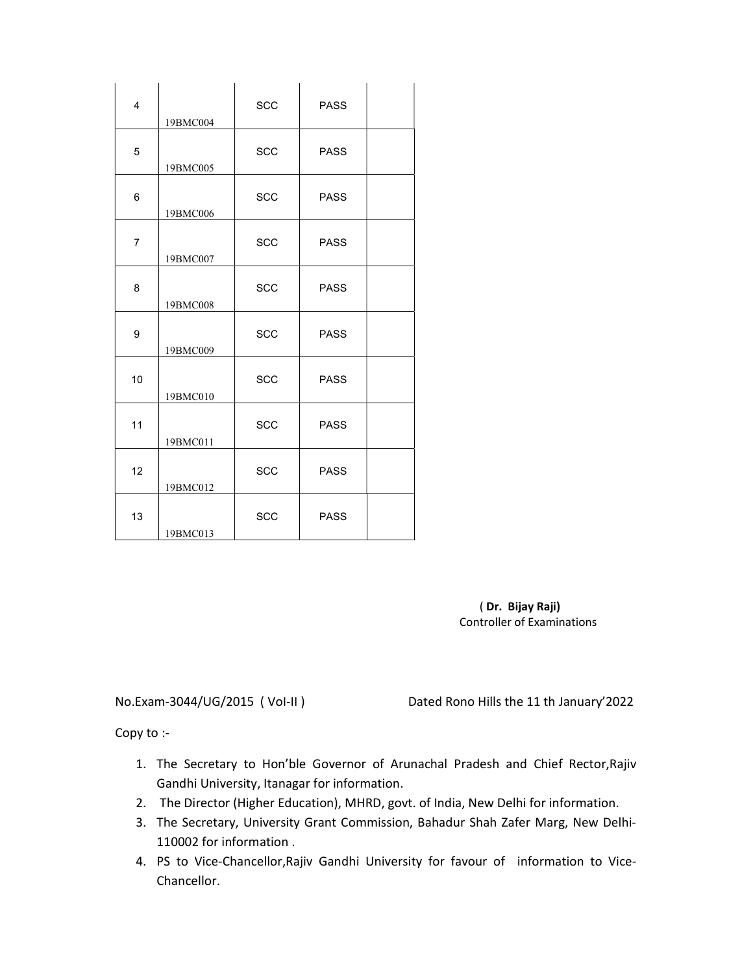| $\overline{4}$ | 19BMC004 | SCC        | <b>PASS</b> |  |
|----------------|----------|------------|-------------|--|
| 5              | 19BMC005 | SCC        | <b>PASS</b> |  |
| 6              | 19BMC006 | <b>SCC</b> | <b>PASS</b> |  |
| $\overline{7}$ | 19BMC007 | <b>SCC</b> | <b>PASS</b> |  |
| 8              | 19BMC008 | SCC        | <b>PASS</b> |  |
| 9              | 19BMC009 | SCC        | <b>PASS</b> |  |
| 10             | 19BMC010 | SCC        | <b>PASS</b> |  |
| 11             | 19BMC011 | <b>SCC</b> | <b>PASS</b> |  |
| 12             | 19BMC012 | SCC        | <b>PASS</b> |  |
| 13             | 19BMC013 | SCC        | <b>PASS</b> |  |

 ( Dr. Bijay Raji) Controller of Examinations

No.Exam-3044/UG/2015 ( VoI-II ) Dated Rono Hills the 11 th January'2022

Copy to :-

- 1. The Secretary to Hon'ble Governor of Arunachal Pradesh and Chief Rector,Rajiv Gandhi University, Itanagar for information.
- 2. The Director (Higher Education), MHRD, govt. of India, New Delhi for information.
- 3. The Secretary, University Grant Commission, Bahadur Shah Zafer Marg, New Delhi-110002 for information .
- 4. PS to Vice-Chancellor,Rajiv Gandhi University for favour of information to Vice-Chancellor.